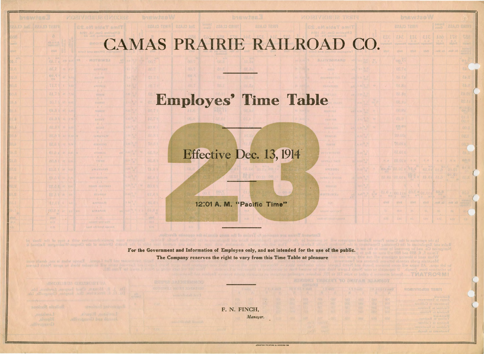## CAMAS PRAIRIE RAILROAD CC

**ES.oWaldeTemiT** 

## Employes' Time Table

## Effective Dec. 13, 1914.

12:01 A. M. "Pacific Time"

For the Government and Information of Employes only, and not intended for the use of the public.

The Company reserves the right to vary from this Time Table at pleasure

 $70 - 5 - 2 - 07$ 

was with a copy of the

*VIORIVIORU2 CIMODES* 

A.I. TIWE

AURORIA

**Richola** 

**B.B.** 

 $-8.6$ 

 $-8.8$ 

around.

F. N. FINCH,

..EWISTON PRINTING & BINDING **ce.** 

|     |                               |                                                                                                                                                                                                                                                                                                                                                                                | buswiseW             |                                       |                        |               |                                          |
|-----|-------------------------------|--------------------------------------------------------------------------------------------------------------------------------------------------------------------------------------------------------------------------------------------------------------------------------------------------------------------------------------------------------------------------------|----------------------|---------------------------------------|------------------------|---------------|------------------------------------------|
|     |                               | FIRST CLASS                                                                                                                                                                                                                                                                                                                                                                    |                      |                                       | <b>Second</b><br>class |               | <b>78AJO CRIMT</b>                       |
|     | <b>BSC</b>                    |                                                                                                                                                                                                                                                                                                                                                                                | 313 311 343          |                                       | 100                    | 857 871       |                                          |
|     |                               |                                                                                                                                                                                                                                                                                                                                                                                | winesse Wassernessen |                                       | htslow                 |               | situate a sestent                        |
|     | yth 0                         |                                                                                                                                                                                                                                                                                                                                                                                | yana yakaz           | $\sim$ $\sqrt{2}85$                   | 三百万 元三                 | .right .x3.   | <b>Profile</b><br>Hydrog<br>Ryddiga A    |
| YS. |                               | 200.41                                                                                                                                                                                                                                                                                                                                                                         |                      |                                       |                        |               | $0^{1.5}$                                |
|     |                               | <b>97.20</b>                                                                                                                                                                                                                                                                                                                                                                   |                      |                                       |                        |               | 记录:                                      |
|     |                               | <b>S7.15</b>                                                                                                                                                                                                                                                                                                                                                                   |                      |                                       |                        |               | 8,45                                     |
| w   |                               | 01.88                                                                                                                                                                                                                                                                                                                                                                          |                      |                                       |                        |               | 24.0                                     |
|     |                               | E8.82                                                                                                                                                                                                                                                                                                                                                                          |                      |                                       |                        |               | 10,15                                    |
| Y.  |                               | <b>GH.82</b>                                                                                                                                                                                                                                                                                                                                                                   |                      |                                       |                        |               | 11.25                                    |
| ¥   |                               | 00.02                                                                                                                                                                                                                                                                                                                                                                          |                      |                                       |                        |               | 0.08                                     |
| ú,  |                               | 02.0                                                                                                                                                                                                                                                                                                                                                                           |                      |                                       |                        |               | OL.J<br>OSV (                            |
| w   |                               | 08.91                                                                                                                                                                                                                                                                                                                                                                          |                      |                                       |                        |               | 00.3                                     |
|     |                               | <b>ROOTS</b>                                                                                                                                                                                                                                                                                                                                                                   |                      |                                       |                        |               | $-200$                                   |
|     |                               | NO.OI a                                                                                                                                                                                                                                                                                                                                                                        |                      |                                       |                        |               | 083                                      |
|     |                               | al.01a                                                                                                                                                                                                                                                                                                                                                                         |                      |                                       |                        |               | 510                                      |
|     | $\mathcal{H}$ , $\mathcal{H}$ | UR.OTE N.M.                                                                                                                                                                                                                                                                                                                                                                    |                      | 1.9.16                                | 9.9.00                 | 1 2 10        | 88.9                                     |
|     |                               | sn.of a ke.s" agaz or.a                                                                                                                                                                                                                                                                                                                                                        |                      |                                       |                        | 32.05         | 61.5<br><b>Let</b>                       |
|     |                               | 0.15 sala s 3 3 c casa san                                                                                                                                                                                                                                                                                                                                                     |                      |                                       |                        |               | $\langle \dots \rangle$                  |
|     |                               |                                                                                                                                                                                                                                                                                                                                                                                |                      |                                       |                        |               |                                          |
| W   |                               | $\frac{811.00}{\sin^2\frac{3}{\sin^2\frac{15}{\cos^2\frac{1}{\cos^2\frac{1}{\cos^2\frac{1}{\cos^2\frac{1}{\cos^2\frac{1}{\cos^2\frac{1}{\cos^2\frac{1}{\cos^2\frac{1}{\cos^2\frac{1}{\cos^2\frac{1}{\cos^2\frac{1}{\cos^2\frac{1}{\cos^2\frac{1}{\cos^2\frac{1}{\cos^2\frac{1}{\cos^2\frac{1}{\cos^2\frac{1}{\cos^2\frac{1}{\cos^2\frac{1}{\cos^2\frac{1}{\cos^2\frac{1}{\cos$ | 26.75<br>×           | 20.8 8 01.012 3.05<br><b>MARITANY</b> |                        |               |                                          |
|     | <b>William</b>                | <b>Wind</b>                                                                                                                                                                                                                                                                                                                                                                    | <b>YEAR</b>          | ville G                               | EE. Minn,              | <b>RA MOR</b> | rynhar<br>Lynham                         |
|     | ы                             | $\mathbb{R}^{3}$                                                                                                                                                                                                                                                                                                                                                               | ×                    | W.                                    | zá.                    | <b>COL</b>    | $\mathbb{E}[\mathbb{E}_{\mathbb{E}}]$ of |
|     | <b>KCT</b>                    | 生地车                                                                                                                                                                                                                                                                                                                                                                            | 91.                  | 松布县                                   | 1,7.1                  | 医肾炎           | 收据                                       |

*Manager.* **III** *III**<b>III <i>III**III**III**III**III**III**III**III**III**III**III**III**III**III**III**III**III**III**III**III**III**III**III**III**III**III**III**III**III**III**III**I* 

 $($  I